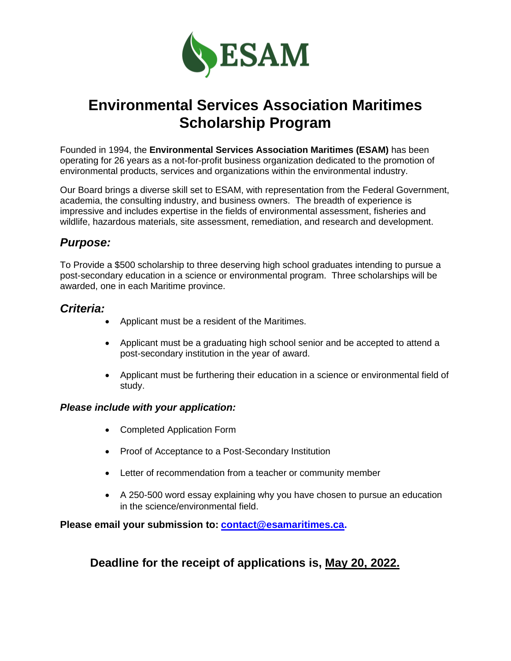

# **Environmental Services Association Maritimes Scholarship Program**

Founded in 1994, the **Environmental Services Association Maritimes (ESAM)** has been operating for 26 years as a not-for-profit business organization dedicated to the promotion of environmental products, services and organizations within the environmental industry.

Our Board brings a diverse skill set to ESAM, with representation from the Federal Government, academia, the consulting industry, and business owners. The breadth of experience is impressive and includes expertise in the fields of environmental assessment, fisheries and wildlife, hazardous materials, site assessment, remediation, and research and development.

### *Purpose:*

To Provide a \$500 scholarship to three deserving high school graduates intending to pursue a post-secondary education in a science or environmental program. Three scholarships will be awarded, one in each Maritime province.

### *Criteria:*

- Applicant must be a resident of the Maritimes.
- Applicant must be a graduating high school senior and be accepted to attend a post-secondary institution in the year of award.
- Applicant must be furthering their education in a science or environmental field of study.

#### *Please include with your application:*

- Completed Application Form
- Proof of Acceptance to a Post-Secondary Institution
- Letter of recommendation from a teacher or community member
- A 250-500 word essay explaining why you have chosen to pursue an education in the science/environmental field.

#### **Please email your submission to: [contact@esamaritimes.ca.](mailto:contact@esamaritimes.ca)**

### **Deadline for the receipt of applications is, May 20, 2022.**